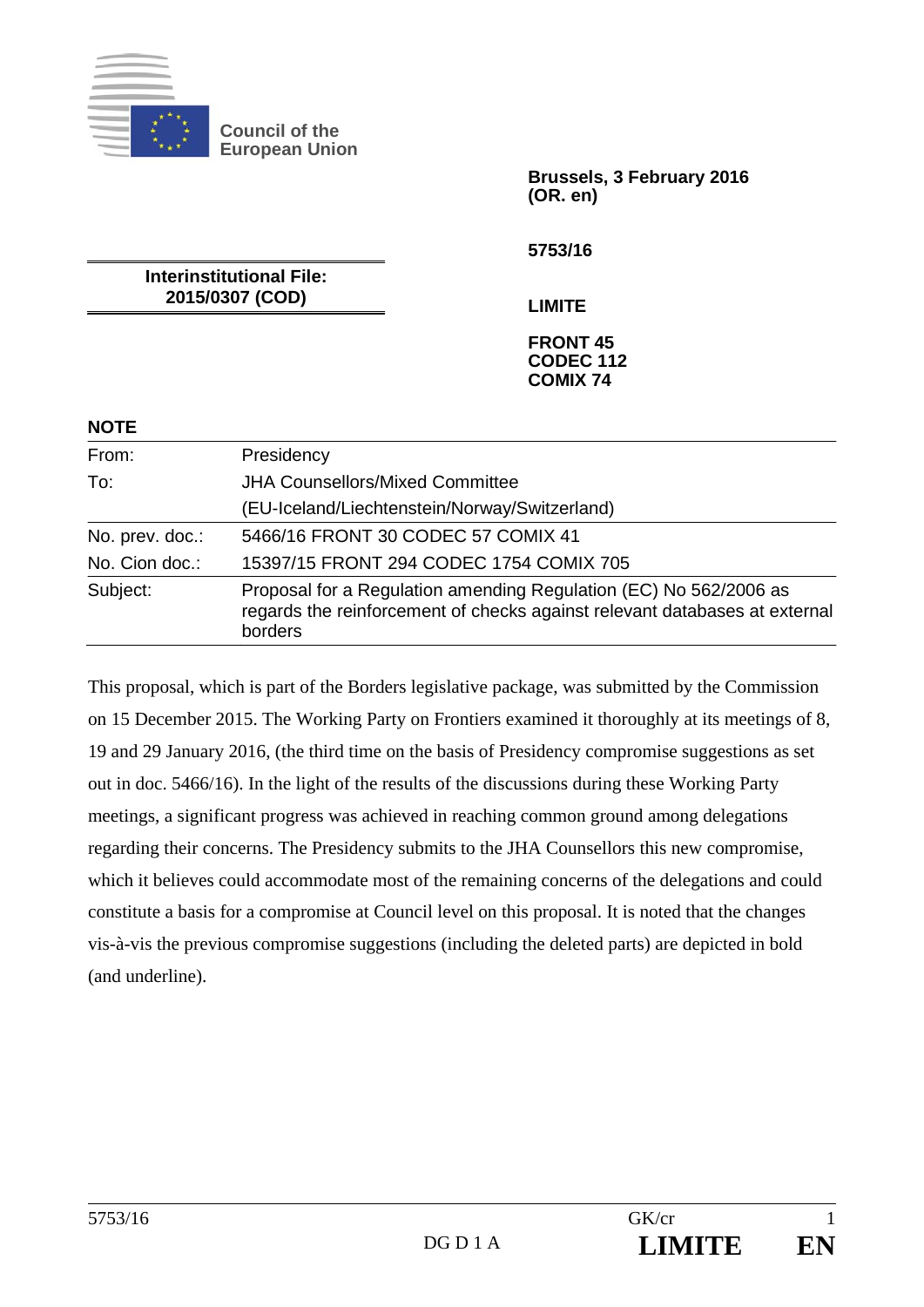

**NOTE** 

**Council of the European Union** 

> **Brussels, 3 February 2016 (OR. en)**

**5753/16** 

**Interinstitutional File: 2015/0307 (COD)** 

**LIMITE** 

#### **FRONT 45 CODEC 112 COMIX 74**

| From:           | Presidency                                                                                                                                                 |
|-----------------|------------------------------------------------------------------------------------------------------------------------------------------------------------|
| To:             | <b>JHA Counsellors/Mixed Committee</b>                                                                                                                     |
|                 | (EU-Iceland/Liechtenstein/Norway/Switzerland)                                                                                                              |
| No. prev. doc.: | 5466/16 FRONT 30 CODEC 57 COMIX 41                                                                                                                         |
| No. Cion doc.:  | 15397/15 FRONT 294 CODEC 1754 COMIX 705                                                                                                                    |
| Subject:        | Proposal for a Regulation amending Regulation (EC) No 562/2006 as<br>regards the reinforcement of checks against relevant databases at external<br>borders |

This proposal, which is part of the Borders legislative package, was submitted by the Commission on 15 December 2015. The Working Party on Frontiers examined it thoroughly at its meetings of 8, 19 and 29 January 2016, (the third time on the basis of Presidency compromise suggestions as set out in doc. 5466/16). In the light of the results of the discussions during these Working Party meetings, a significant progress was achieved in reaching common ground among delegations regarding their concerns. The Presidency submits to the JHA Counsellors this new compromise, which it believes could accommodate most of the remaining concerns of the delegations and could constitute a basis for a compromise at Council level on this proposal. It is noted that the changes vis-à-vis the previous compromise suggestions (including the deleted parts) are depicted in bold (and underline).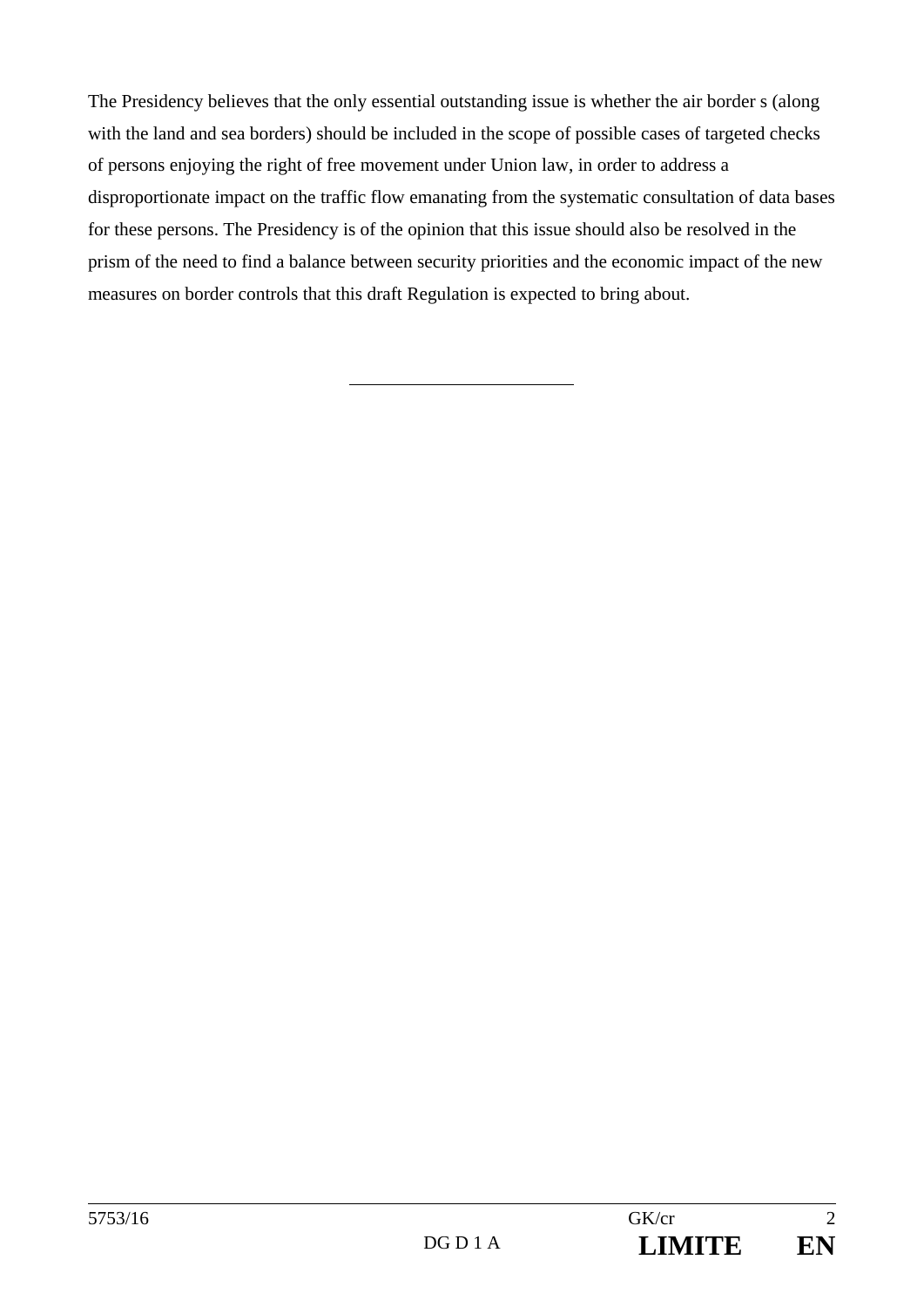The Presidency believes that the only essential outstanding issue is whether the air border s (along with the land and sea borders) should be included in the scope of possible cases of targeted checks of persons enjoying the right of free movement under Union law, in order to address a disproportionate impact on the traffic flow emanating from the systematic consultation of data bases for these persons. The Presidency is of the opinion that this issue should also be resolved in the prism of the need to find a balance between security priorities and the economic impact of the new measures on border controls that this draft Regulation is expected to bring about.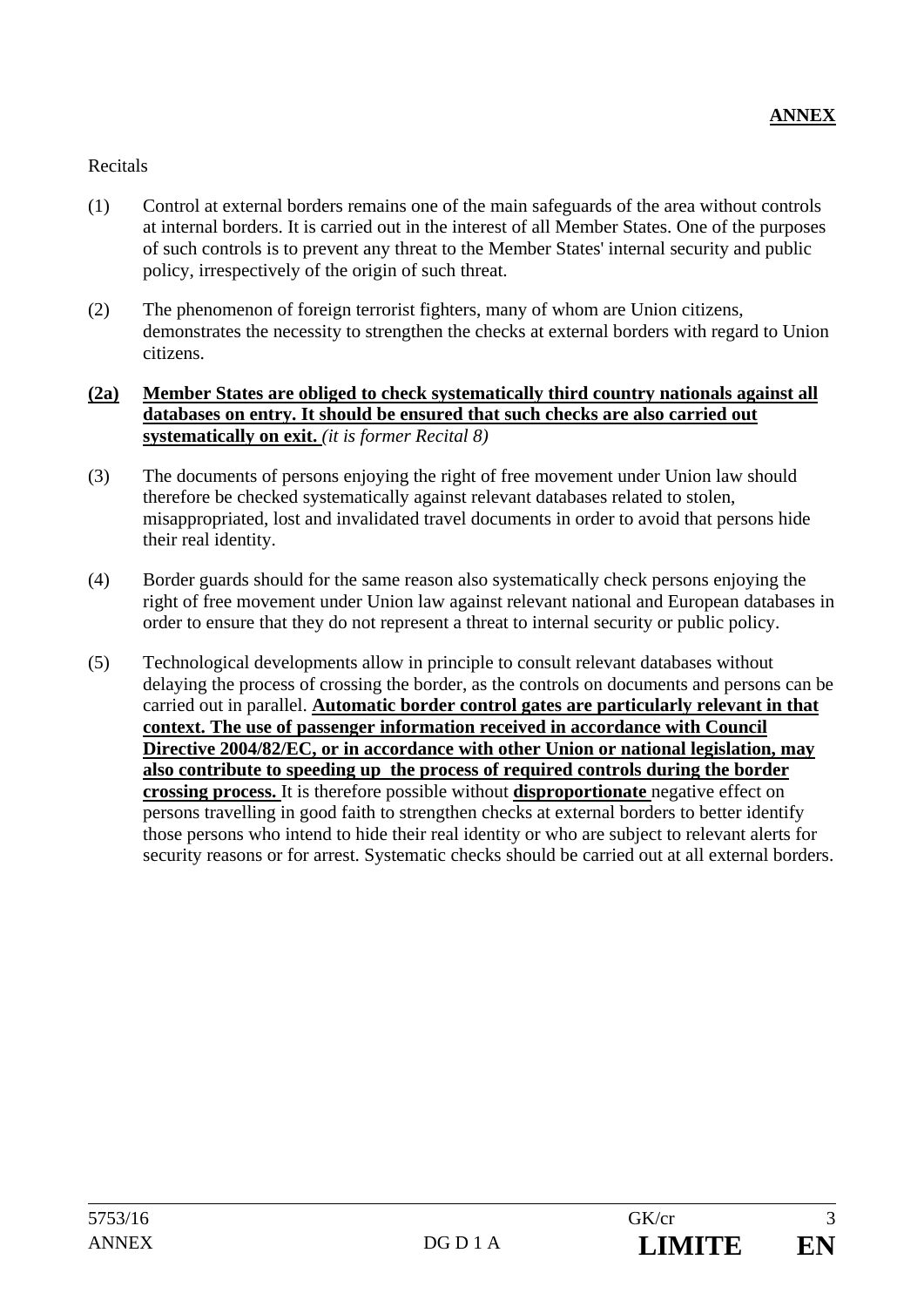# Recitals

- (1) Control at external borders remains one of the main safeguards of the area without controls at internal borders. It is carried out in the interest of all Member States. One of the purposes of such controls is to prevent any threat to the Member States' internal security and public policy, irrespectively of the origin of such threat.
- (2) The phenomenon of foreign terrorist fighters, many of whom are Union citizens, demonstrates the necessity to strengthen the checks at external borders with regard to Union citizens.

### **(2a) Member States are obliged to check systematically third country nationals against all databases on entry. It should be ensured that such checks are also carried out systematically on exit.** *(it is former Recital 8)*

- (3) The documents of persons enjoying the right of free movement under Union law should therefore be checked systematically against relevant databases related to stolen, misappropriated, lost and invalidated travel documents in order to avoid that persons hide their real identity.
- (4) Border guards should for the same reason also systematically check persons enjoying the right of free movement under Union law against relevant national and European databases in order to ensure that they do not represent a threat to internal security or public policy.
- (5) Technological developments allow in principle to consult relevant databases without delaying the process of crossing the border, as the controls on documents and persons can be carried out in parallel. **Automatic border control gates are particularly relevant in that context. The use of passenger information received in accordance with Council Directive 2004/82/EC, or in accordance with other Union or national legislation, may also contribute to speeding up the process of required controls during the border crossing process.** It is therefore possible without **disproportionate** negative effect on persons travelling in good faith to strengthen checks at external borders to better identify those persons who intend to hide their real identity or who are subject to relevant alerts for security reasons or for arrest. Systematic checks should be carried out at all external borders.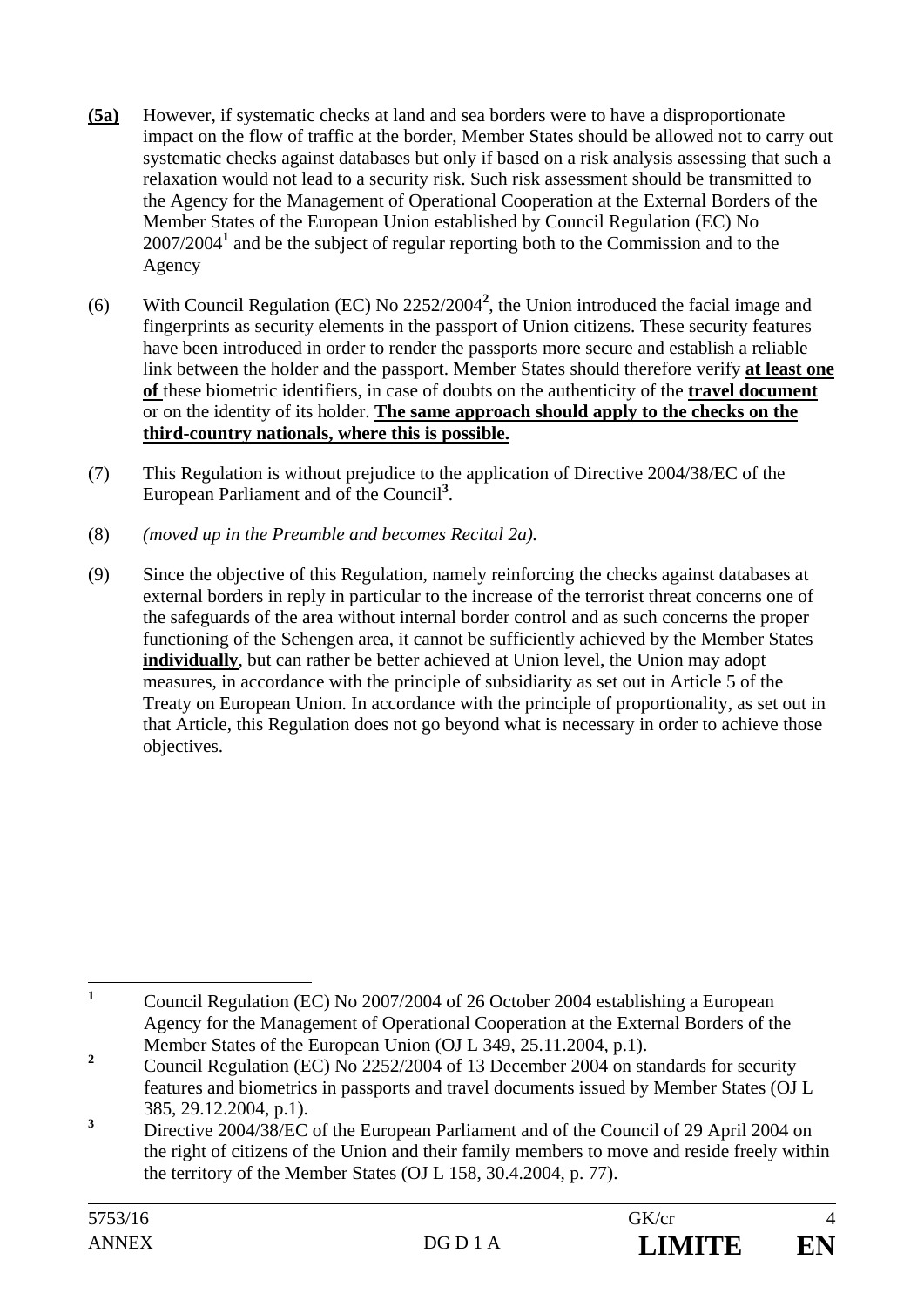- **(5a)** However, if systematic checks at land and sea borders were to have a disproportionate impact on the flow of traffic at the border, Member States should be allowed not to carry out systematic checks against databases but only if based on a risk analysis assessing that such a relaxation would not lead to a security risk. Such risk assessment should be transmitted to the Agency for the Management of Operational Cooperation at the External Borders of the Member States of the European Union established by Council Regulation (EC) No 2007/2004**<sup>1</sup>** and be the subject of regular reporting both to the Commission and to the Agency
- (6) With Council Regulation (EC) No 2252/2004**<sup>2</sup>** , the Union introduced the facial image and fingerprints as security elements in the passport of Union citizens. These security features have been introduced in order to render the passports more secure and establish a reliable link between the holder and the passport. Member States should therefore verify **at least one of** these biometric identifiers, in case of doubts on the authenticity of the **travel document** or on the identity of its holder. **The same approach should apply to the checks on the third-country nationals, where this is possible.**
- (7) This Regulation is without prejudice to the application of Directive 2004/38/EC of the European Parliament and of the Council<sup>3</sup>.
- (8) *(moved up in the Preamble and becomes Recital 2a).*
- (9) Since the objective of this Regulation, namely reinforcing the checks against databases at external borders in reply in particular to the increase of the terrorist threat concerns one of the safeguards of the area without internal border control and as such concerns the proper functioning of the Schengen area, it cannot be sufficiently achieved by the Member States **individually**, but can rather be better achieved at Union level, the Union may adopt measures, in accordance with the principle of subsidiarity as set out in Article 5 of the Treaty on European Union. In accordance with the principle of proportionality, as set out in that Article, this Regulation does not go beyond what is necessary in order to achieve those objectives.

 **1** Council Regulation (EC) No 2007/2004 of 26 October 2004 establishing a European Agency for the Management of Operational Cooperation at the External Borders of the Member States of the European Union (OJ L 349, 25.11.2004, p.1).

**<sup>2</sup>** Council Regulation (EC) No 2252/2004 of 13 December 2004 on standards for security features and biometrics in passports and travel documents issued by Member States (OJ L 385, 29.12.2004, p.1).

**<sup>3</sup>** Directive 2004/38/EC of the European Parliament and of the Council of 29 April 2004 on the right of citizens of the Union and their family members to move and reside freely within the territory of the Member States (OJ L 158, 30.4.2004, p. 77).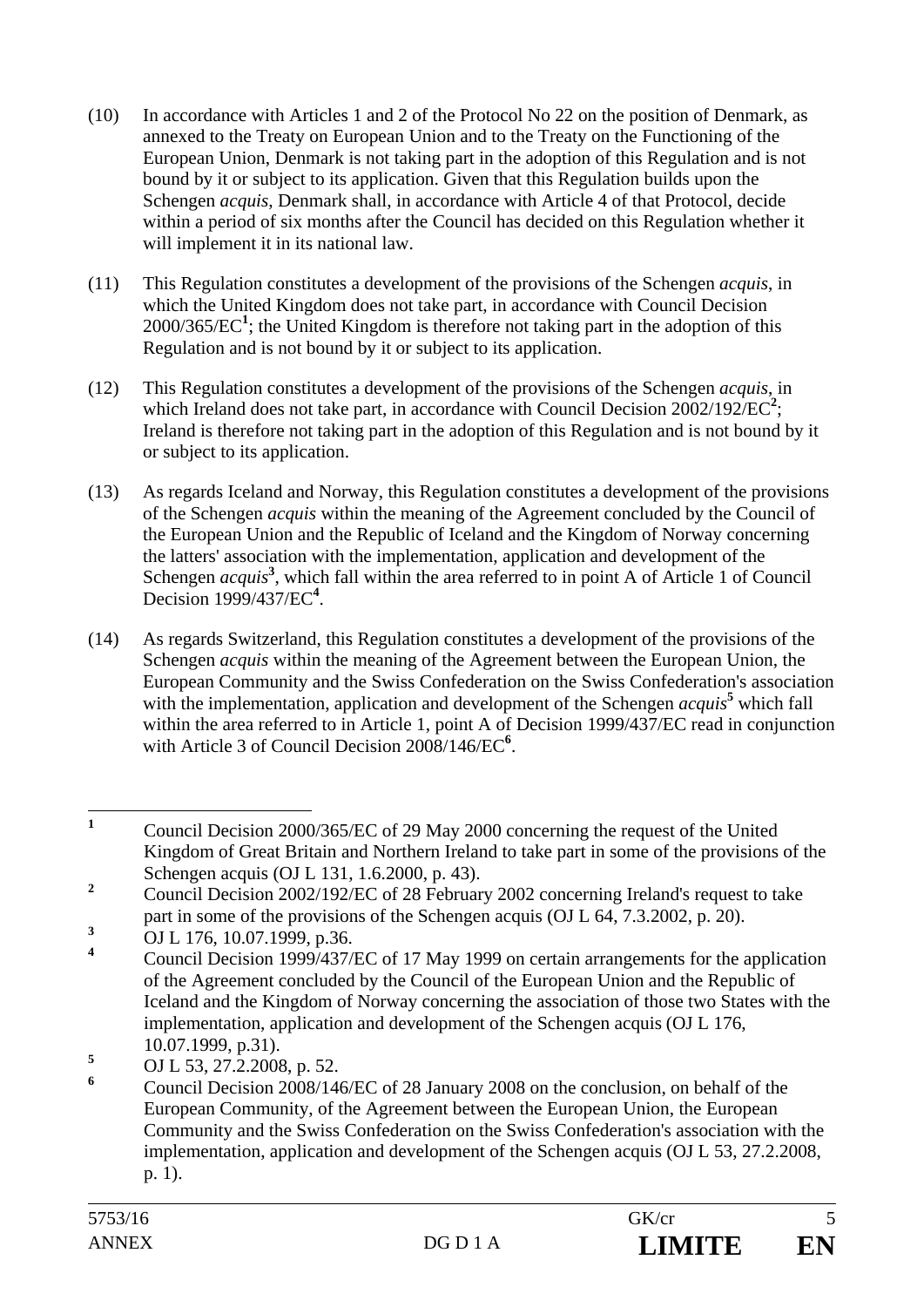- (10) In accordance with Articles 1 and 2 of the Protocol No 22 on the position of Denmark, as annexed to the Treaty on European Union and to the Treaty on the Functioning of the European Union, Denmark is not taking part in the adoption of this Regulation and is not bound by it or subject to its application. Given that this Regulation builds upon the Schengen *acquis*, Denmark shall, in accordance with Article 4 of that Protocol, decide within a period of six months after the Council has decided on this Regulation whether it will implement it in its national law.
- (11) This Regulation constitutes a development of the provisions of the Schengen *acquis*, in which the United Kingdom does not take part, in accordance with Council Decision 2000/365/EC**<sup>1</sup>** ; the United Kingdom is therefore not taking part in the adoption of this Regulation and is not bound by it or subject to its application.
- (12) This Regulation constitutes a development of the provisions of the Schengen *acquis*, in which Ireland does not take part, in accordance with Council Decision  $2002/192/EC^2$ ; Ireland is therefore not taking part in the adoption of this Regulation and is not bound by it or subject to its application.
- (13) As regards Iceland and Norway, this Regulation constitutes a development of the provisions of the Schengen *acquis* within the meaning of the Agreement concluded by the Council of the European Union and the Republic of Iceland and the Kingdom of Norway concerning the latters' association with the implementation, application and development of the Schengen *acquis*<sup>3</sup>, which fall within the area referred to in point A of Article 1 of Council Decision 1999/437/EC<sup>4</sup>.
- (14) As regards Switzerland, this Regulation constitutes a development of the provisions of the Schengen *acquis* within the meaning of the Agreement between the European Union, the European Community and the Swiss Confederation on the Swiss Confederation's association with the implementation, application and development of the Schengen *acquis*<sup>5</sup> which fall within the area referred to in Article 1, point A of Decision 1999/437/EC read in conjunction with Article 3 of Council Decision 2008/146/EC<sup>6</sup>.

 **1** Council Decision 2000/365/EC of 29 May 2000 concerning the request of the United Kingdom of Great Britain and Northern Ireland to take part in some of the provisions of the Schengen acquis (OJ L 131, 1.6.2000, p. 43).

**<sup>2</sup>** Council Decision 2002/192/EC of 28 February 2002 concerning Ireland's request to take part in some of the provisions of the Schengen acquis (OJ L 64, 7.3.2002, p. 20).

**<sup>3</sup>** OJ L 176, 10.07.1999, p.36.

**<sup>4</sup>** Council Decision 1999/437/EC of 17 May 1999 on certain arrangements for the application of the Agreement concluded by the Council of the European Union and the Republic of Iceland and the Kingdom of Norway concerning the association of those two States with the implementation, application and development of the Schengen acquis (OJ L 176, 10.07.1999, p.31).

**<sup>5</sup>** OJ L 53, 27.2.2008, p. 52.

**<sup>6</sup>** Council Decision 2008/146/EC of 28 January 2008 on the conclusion, on behalf of the European Community, of the Agreement between the European Union, the European Community and the Swiss Confederation on the Swiss Confederation's association with the implementation, application and development of the Schengen acquis (OJ L 53, 27.2.2008, p. 1).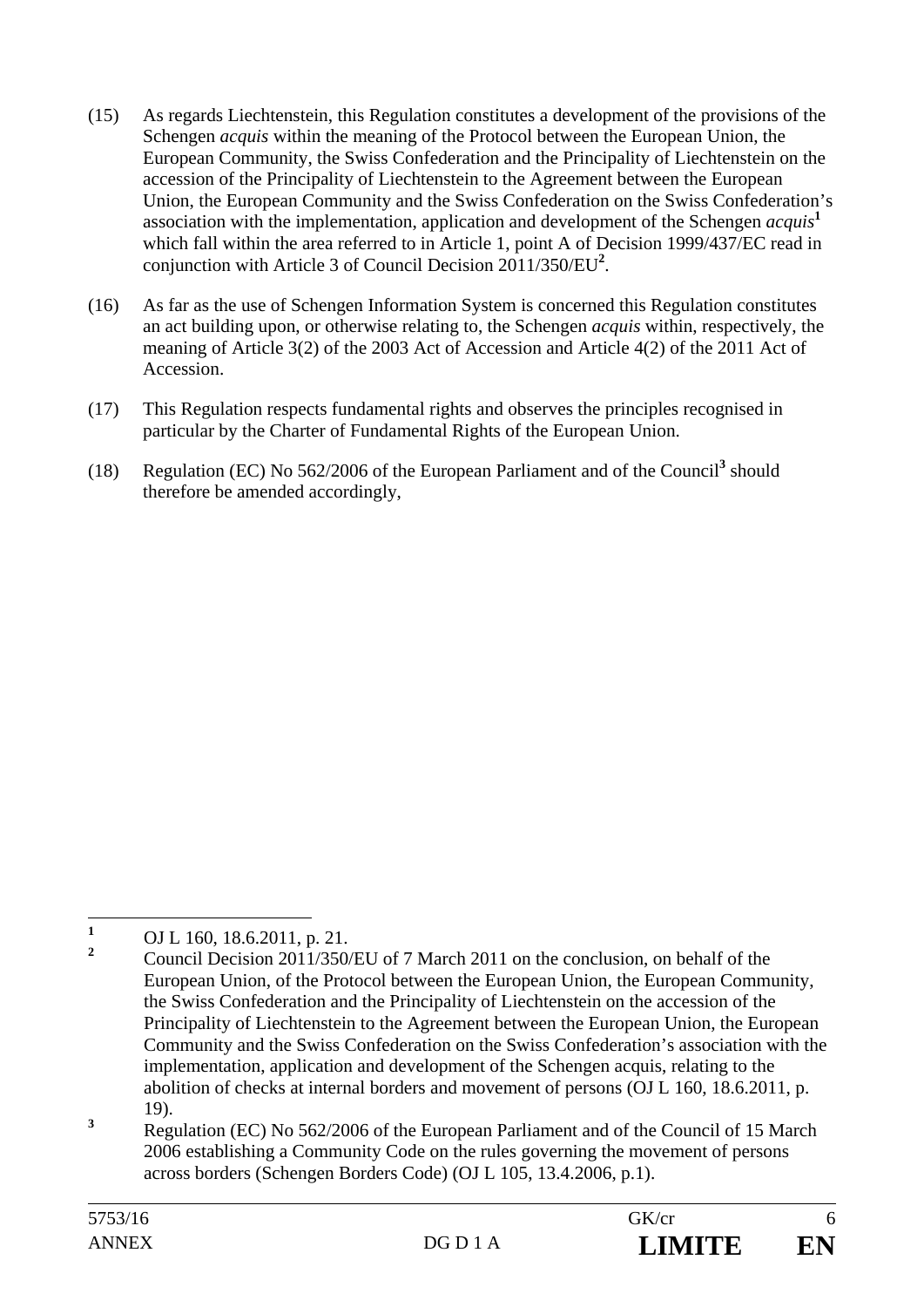- (15) As regards Liechtenstein, this Regulation constitutes a development of the provisions of the Schengen *acquis* within the meaning of the Protocol between the European Union, the European Community, the Swiss Confederation and the Principality of Liechtenstein on the accession of the Principality of Liechtenstein to the Agreement between the European Union, the European Community and the Swiss Confederation on the Swiss Confederation's association with the implementation, application and development of the Schengen *acquis***<sup>1</sup>** which fall within the area referred to in Article 1, point A of Decision 1999/437/EC read in conjunction with Article 3 of Council Decision 2011/350/EU**<sup>2</sup>** .
- (16) As far as the use of Schengen Information System is concerned this Regulation constitutes an act building upon, or otherwise relating to, the Schengen *acquis* within, respectively, the meaning of Article 3(2) of the 2003 Act of Accession and Article 4(2) of the 2011 Act of Accession.
- (17) This Regulation respects fundamental rights and observes the principles recognised in particular by the Charter of Fundamental Rights of the European Union.
- (18) Regulation (EC) No  $562/2006$  of the European Parliament and of the Council<sup>3</sup> should therefore be amended accordingly,

 **1** OJ L 160, 18.6.2011, p. 21.

**<sup>2</sup>** Council Decision 2011/350/EU of 7 March 2011 on the conclusion, on behalf of the European Union, of the Protocol between the European Union, the European Community, the Swiss Confederation and the Principality of Liechtenstein on the accession of the Principality of Liechtenstein to the Agreement between the European Union, the European Community and the Swiss Confederation on the Swiss Confederation's association with the implementation, application and development of the Schengen acquis, relating to the abolition of checks at internal borders and movement of persons (OJ L 160, 18.6.2011, p. 19).

**<sup>3</sup>** Regulation (EC) No 562/2006 of the European Parliament and of the Council of 15 March 2006 establishing a Community Code on the rules governing the movement of persons across borders (Schengen Borders Code) (OJ L 105, 13.4.2006, p.1).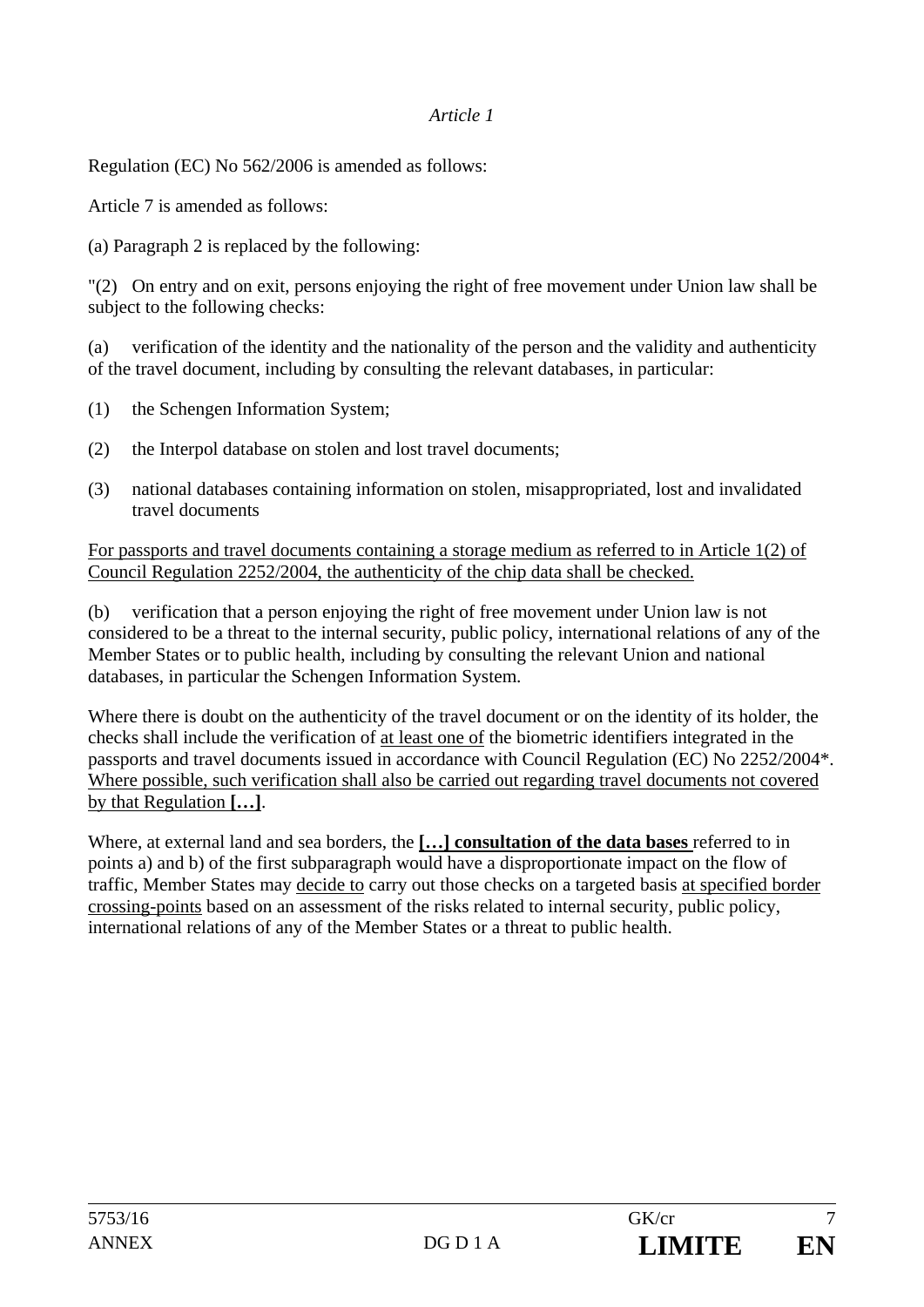## *Article 1*

Regulation (EC) No 562/2006 is amended as follows:

Article 7 is amended as follows:

(a) Paragraph 2 is replaced by the following:

"(2) On entry and on exit, persons enjoying the right of free movement under Union law shall be subject to the following checks:

(a) verification of the identity and the nationality of the person and the validity and authenticity of the travel document, including by consulting the relevant databases, in particular:

- (1) the Schengen Information System;
- (2) the Interpol database on stolen and lost travel documents;
- (3) national databases containing information on stolen, misappropriated, lost and invalidated travel documents

For passports and travel documents containing a storage medium as referred to in Article 1(2) of Council Regulation 2252/2004, the authenticity of the chip data shall be checked.

(b) verification that a person enjoying the right of free movement under Union law is not considered to be a threat to the internal security, public policy, international relations of any of the Member States or to public health, including by consulting the relevant Union and national databases, in particular the Schengen Information System.

Where there is doubt on the authenticity of the travel document or on the identity of its holder, the checks shall include the verification of at least one of the biometric identifiers integrated in the passports and travel documents issued in accordance with Council Regulation (EC) No 2252/2004\*. Where possible, such verification shall also be carried out regarding travel documents not covered by that Regulation **[…]**.

Where, at external land and sea borders, the **[…] consultation of the data bases** referred to in points a) and b) of the first subparagraph would have a disproportionate impact on the flow of traffic, Member States may decide to carry out those checks on a targeted basis at specified border crossing-points based on an assessment of the risks related to internal security, public policy, international relations of any of the Member States or a threat to public health.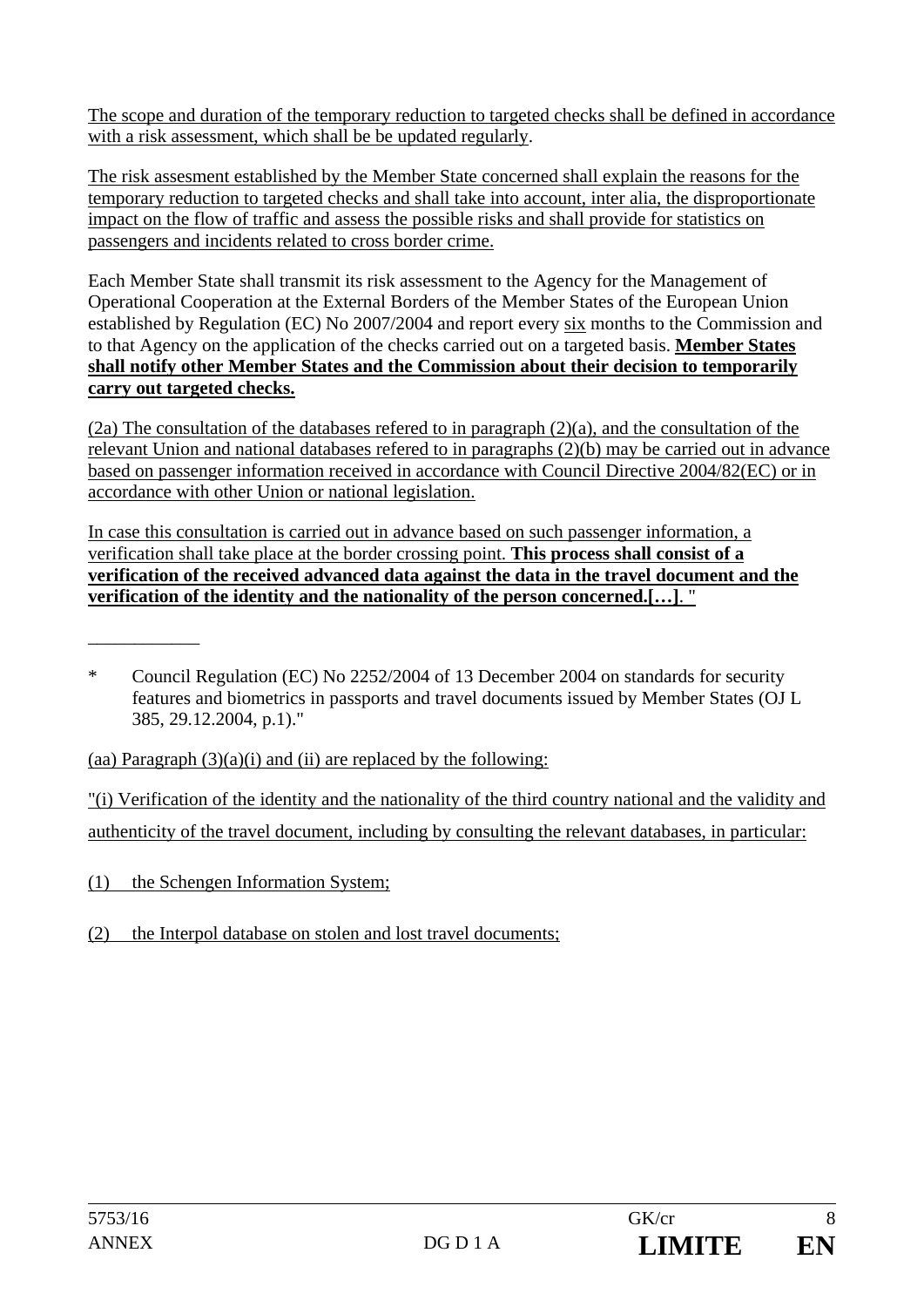The scope and duration of the temporary reduction to targeted checks shall be defined in accordance with a risk assessment, which shall be be updated regularly.

The risk assesment established by the Member State concerned shall explain the reasons for the temporary reduction to targeted checks and shall take into account, inter alia, the disproportionate impact on the flow of traffic and assess the possible risks and shall provide for statistics on passengers and incidents related to cross border crime.

Each Member State shall transmit its risk assessment to the Agency for the Management of Operational Cooperation at the External Borders of the Member States of the European Union established by Regulation (EC) No 2007/2004 and report every six months to the Commission and to that Agency on the application of the checks carried out on a targeted basis. **Member States shall notify other Member States and the Commission about their decision to temporarily carry out targeted checks.**

(2a) The consultation of the databases refered to in paragraph (2)(a), and the consultation of the relevant Union and national databases refered to in paragraphs (2)(b) may be carried out in advance based on passenger information received in accordance with Council Directive 2004/82(EC) or in accordance with other Union or national legislation.

In case this consultation is carried out in advance based on such passenger information, a verification shall take place at the border crossing point. **This process shall consist of a verification of the received advanced data against the data in the travel document and the verification of the identity and the nationality of the person concerned.[…]**. "

(aa) Paragraph  $(3)(a)(i)$  and (ii) are replaced by the following:

"(i) Verification of the identity and the nationality of the third country national and the validity and authenticity of the travel document, including by consulting the relevant databases, in particular:

(1) the Schengen Information System;

(2) the Interpol database on stolen and lost travel documents;

\_\_\_\_\_\_\_\_\_\_\_\_

<sup>\*</sup> Council Regulation (EC) No 2252/2004 of 13 December 2004 on standards for security features and biometrics in passports and travel documents issued by Member States (OJ L 385, 29.12.2004, p.1)."